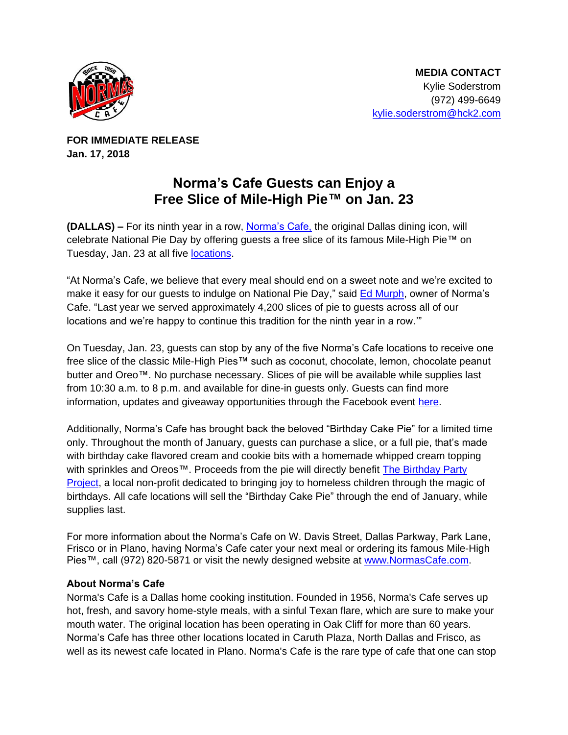

**FOR IMMEDIATE RELEASE Jan. 17, 2018**

## **Norma's Cafe Guests can Enjoy a Free Slice of Mile-High Pie™ on Jan. 23**

**(DALLAS) –** For its ninth year in a row, [Norma's Cafe,](http://normascafe.com/) the original Dallas dining icon, will celebrate National Pie Day by offering guests a free slice of its famous Mile-High Pie™ on Tuesday, Jan. 23 at all five [locations.](http://normascafe.com/locations/)

"At Norma's Cafe, we believe that every meal should end on a sweet note and we're excited to make it easy for our guests to indulge on National Pie Day," said **Ed Murph**, owner of Norma's Cafe. "Last year we served approximately 4,200 slices of pie to guests across all of our locations and we're happy to continue this tradition for the ninth year in a row."

On Tuesday, Jan. 23, guests can stop by any of the five Norma's Cafe locations to receive one free slice of the classic Mile-High Pies™ such as coconut, chocolate, lemon, chocolate peanut butter and Oreo™. No purchase necessary. Slices of pie will be available while supplies last from 10:30 a.m. to 8 p.m. and available for dine-in guests only. Guests can find more information, updates and giveaway opportunities through the Facebook event [here.](https://www.facebook.com/events/1996229627367525/)

Additionally, Norma's Cafe has brought back the beloved "Birthday Cake Pie" for a limited time only. Throughout the month of January, guests can purchase a slice, or a full pie, that's made with birthday cake flavored cream and cookie bits with a homemade whipped cream topping with sprinkles and Oreos<sup>™</sup>. Proceeds from the pie will directly benefit The Birthday Party [Project,](http://www.thebirthdaypartyproject.org/) a local non-profit dedicated to bringing joy to homeless children through the magic of birthdays. All cafe locations will sell the "Birthday Cake Pie" through the end of January, while supplies last.

For more information about the Norma's Cafe on W. Davis Street, Dallas Parkway, Park Lane, Frisco or in Plano, having Norma's Cafe cater your next meal or ordering its famous Mile-High Pies™, call (972) 820-5871 or visit the newly designed website at [www.NormasCafe.com.](http://www.normascafe.com/)

## **About Norma's Cafe**

Norma's Cafe is a Dallas home cooking institution. Founded in 1956, Norma's Cafe serves up hot, fresh, and savory home-style meals, with a sinful Texan flare, which are sure to make your mouth water. The original location has been operating in Oak Cliff for more than 60 years. Norma's Cafe has three other locations located in Caruth Plaza, North Dallas and Frisco, as well as its newest cafe located in Plano. Norma's Cafe is the rare type of cafe that one can stop